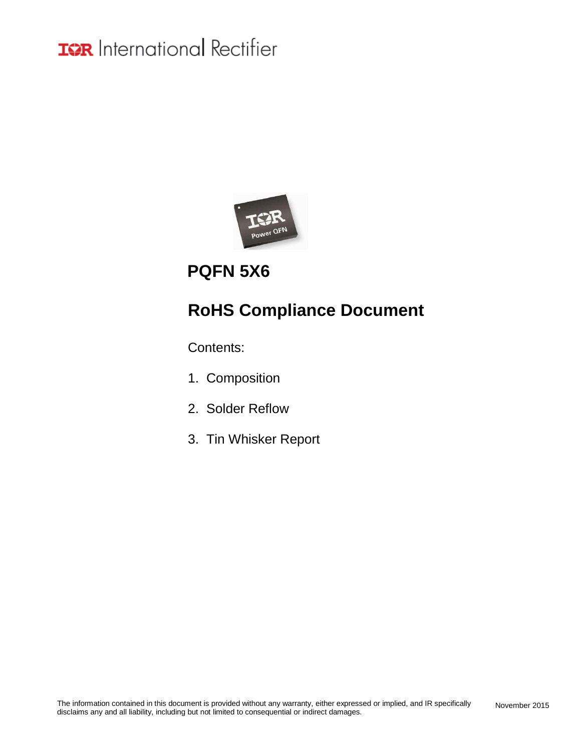

### **PQFN 5X6**

### **RoHS Compliance Document**

Contents:

- 1. Composition
- 2. Solder Reflow
- 3. Tin Whisker Report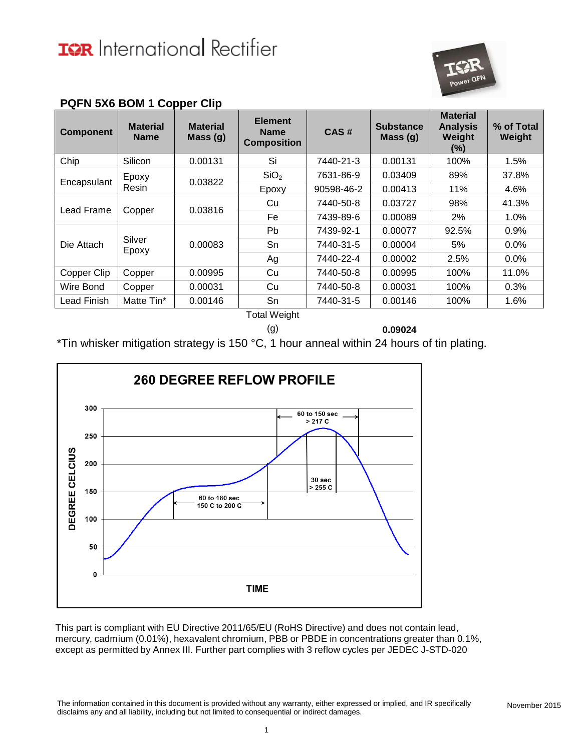

| <b>Component</b>   | <b>Material</b><br><b>Name</b> | <b>Material</b><br>Mass (g) | <b>Element</b><br><b>Name</b><br><b>Composition</b> | CAS#       | <b>Substance</b><br>Mass(g) | <b>Material</b><br><b>Analysis</b><br>Weight<br>(%) | % of Total<br>Weight |       |
|--------------------|--------------------------------|-----------------------------|-----------------------------------------------------|------------|-----------------------------|-----------------------------------------------------|----------------------|-------|
| Chip               | Silicon                        | 0.00131                     | Si                                                  | 7440-21-3  | 0.00131                     | 100%                                                | 1.5%                 |       |
| Encapsulant        | Epoxy                          | 0.03822                     | SiO <sub>2</sub>                                    | 7631-86-9  | 0.03409                     | 89%                                                 | 37.8%                |       |
|                    | Resin                          |                             | Epoxy                                               | 90598-46-2 | 0.00413                     | 11%                                                 | 4.6%                 |       |
|                    | Copper                         |                             | 0.03816                                             | Cu         | 7440-50-8                   | 0.03727                                             | 98%                  | 41.3% |
| Lead Frame         |                                |                             | Fe                                                  | 7439-89-6  | 0.00089                     | 2%                                                  | $1.0\%$              |       |
|                    |                                |                             | <b>Pb</b>                                           | 7439-92-1  | 0.00077                     | 92.5%                                               | 0.9%                 |       |
| Die Attach         | Silver<br>Epoxy                | 0.00083                     | Sn                                                  | 7440-31-5  | 0.00004                     | 5%                                                  | $0.0\%$              |       |
|                    |                                |                             | Ag                                                  | 7440-22-4  | 0.00002                     | 2.5%                                                | 0.0%                 |       |
| Copper Clip        | Copper                         | 0.00995                     | Cu                                                  | 7440-50-8  | 0.00995                     | 100%                                                | 11.0%                |       |
| Wire Bond          | Copper                         | 0.00031                     | Cu                                                  | 7440-50-8  | 0.00031                     | 100%                                                | 0.3%                 |       |
| <b>Lead Finish</b> | Matte Tin*                     | 0.00146                     | Sn                                                  | 7440-31-5  | 0.00146                     | 100%                                                | 1.6%                 |       |

#### **PQFN 5X6 BOM 1 Copper Clip**

Total Weight

(g) **0.09024**

\*Tin whisker mitigation strategy is 150 °C, 1 hour anneal within 24 hours of tin plating.

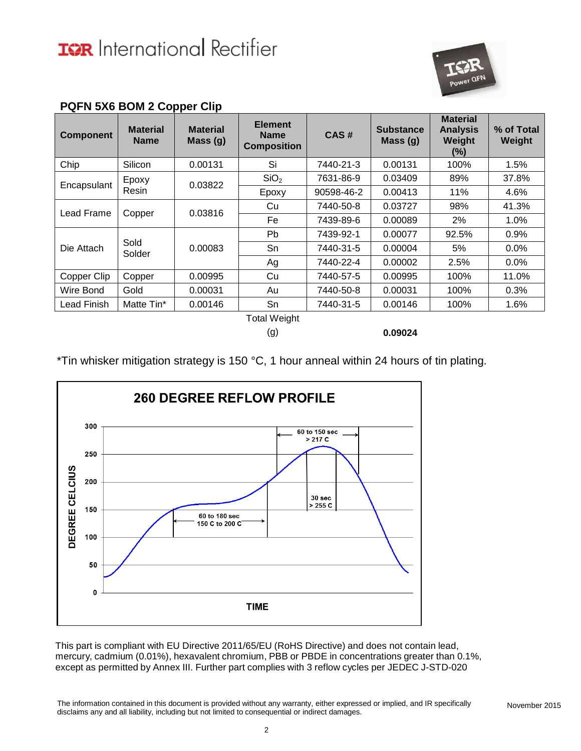

| <b>Component</b>   | <b>Material</b><br><b>Name</b> | <b>Material</b><br>Mass (g) | <b>Element</b><br><b>Name</b><br><b>Composition</b> | CAS#       | <b>Substance</b><br>Mass $(g)$ | <b>Material</b><br><b>Analysis</b><br>Weight<br>(%) | % of Total<br>Weight |
|--------------------|--------------------------------|-----------------------------|-----------------------------------------------------|------------|--------------------------------|-----------------------------------------------------|----------------------|
| Chip               | Silicon                        | 0.00131                     | Si                                                  | 7440-21-3  | 0.00131                        | 100%                                                | 1.5%                 |
|                    | Epoxy                          |                             | SiO <sub>2</sub>                                    | 7631-86-9  | 0.03409                        | 89%                                                 | 37.8%                |
| Encapsulant        | Resin                          | 0.03822                     | Epoxy                                               | 90598-46-2 | 0.00413                        | 11%                                                 | 4.6%                 |
| Lead Frame         |                                | 0.03816<br>Copper           | Cu                                                  | 7440-50-8  | 0.03727                        | 98%                                                 | 41.3%                |
|                    |                                |                             | Fe                                                  | 7439-89-6  | 0.00089                        | 2%                                                  | 1.0%                 |
|                    |                                | 0.00083                     | Pb                                                  | 7439-92-1  | 0.00077                        | 92.5%                                               | 0.9%                 |
| Die Attach         | Sold<br>Solder                 |                             | Sn                                                  | 7440-31-5  | 0.00004                        | 5%                                                  | 0.0%                 |
|                    |                                |                             | Ag                                                  | 7440-22-4  | 0.00002                        | 2.5%                                                | 0.0%                 |
| Copper Clip        | Copper                         | 0.00995                     | Cu                                                  | 7440-57-5  | 0.00995                        | 100%                                                | 11.0%                |
| Wire Bond          | Gold                           | 0.00031                     | Au                                                  | 7440-50-8  | 0.00031                        | 100%                                                | 0.3%                 |
| <b>Lead Finish</b> | Matte Tin*                     | 0.00146                     | Sn                                                  | 7440-31-5  | 0.00146                        | 100%                                                | 1.6%                 |
|                    |                                |                             | <b>Total Weight</b>                                 |            |                                |                                                     |                      |

#### **PQFN 5X6 BOM 2 Copper Clip**

(g) **0.09024**

\*Tin whisker mitigation strategy is 150 °C, 1 hour anneal within 24 hours of tin plating.

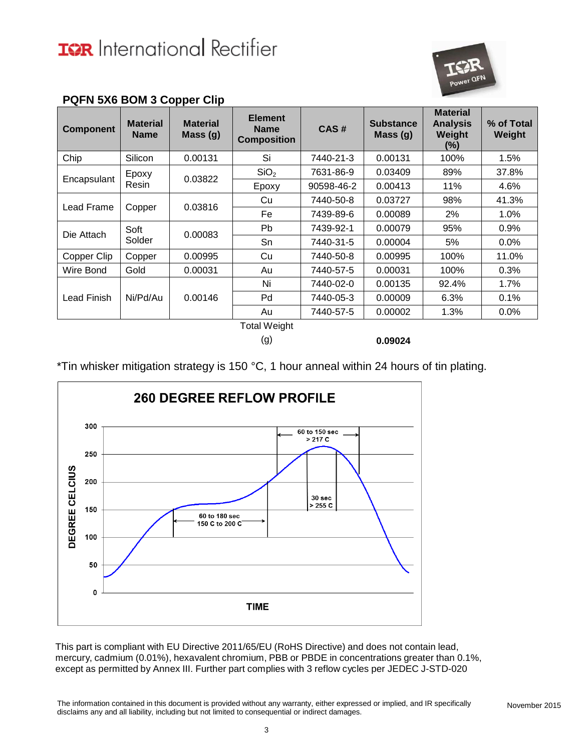

| <b>Component</b> | <b>Material</b><br><b>Name</b> | <b>Material</b><br>Mass(g) | <b>Element</b><br><b>Name</b><br><b>Composition</b> | CAS#       | <b>Substance</b><br>Mass (g) | <b>Material</b><br><b>Analysis</b><br>Weight<br>(%) | % of Total<br>Weight |
|------------------|--------------------------------|----------------------------|-----------------------------------------------------|------------|------------------------------|-----------------------------------------------------|----------------------|
| Chip             | Silicon                        | 0.00131                    | Si                                                  | 7440-21-3  | 0.00131                      | 100%                                                | 1.5%                 |
|                  | Epoxy                          | 0.03822                    | SiO <sub>2</sub>                                    | 7631-86-9  | 0.03409                      | 89%                                                 | 37.8%                |
| Encapsulant      | Resin                          |                            | Epoxy                                               | 90598-46-2 | 0.00413                      | 11%                                                 | 4.6%                 |
|                  |                                | 0.03816                    | Cu                                                  | 7440-50-8  | 0.03727                      | 98%                                                 | 41.3%                |
| Lead Frame       | Copper                         |                            | Fe                                                  | 7439-89-6  | 0.00089                      | 2%                                                  | 1.0%                 |
|                  | Soft<br>Solder                 | 0.00083                    | Pb                                                  | 7439-92-1  | 0.00079                      | 95%                                                 | 0.9%                 |
| Die Attach       |                                |                            | Sn                                                  | 7440-31-5  | 0.00004                      | 5%                                                  | 0.0%                 |
| Copper Clip      | Copper                         | 0.00995                    | Cu                                                  | 7440-50-8  | 0.00995                      | 100%                                                | 11.0%                |
| Wire Bond        | Gold                           | 0.00031                    | Au                                                  | 7440-57-5  | 0.00031                      | 100%                                                | 0.3%                 |
|                  |                                |                            | Ni                                                  | 7440-02-0  | 0.00135                      | 92.4%                                               | 1.7%                 |
| Lead Finish      | Ni/Pd/Au                       | 0.00146                    | Pd                                                  | 7440-05-3  | 0.00009                      | 6.3%                                                | 0.1%                 |
|                  |                                |                            | Au                                                  | 7440-57-5  | 0.00002                      | 1.3%                                                | $0.0\%$              |
|                  |                                |                            | <b>Total Weight</b>                                 |            |                              |                                                     |                      |

#### **PQFN 5X6 BOM 3 Copper Clip**

(g) **0.09024**

\*Tin whisker mitigation strategy is 150 °C, 1 hour anneal within 24 hours of tin plating.

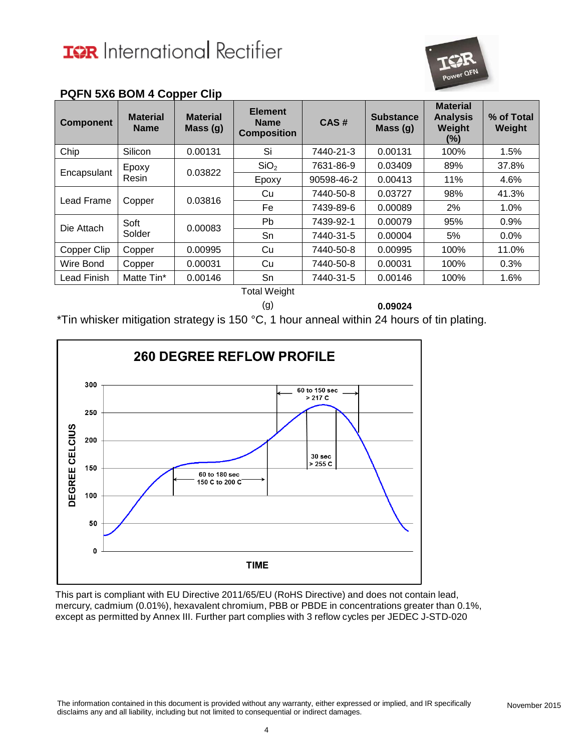

| <b>Component</b> | <b>Material</b><br><b>Name</b> | <b>Material</b><br>Mass(g) | <b>Element</b><br><b>Name</b><br><b>Composition</b> | CAS#       | <b>Substance</b><br>Mass (g) | <b>Material</b><br><b>Analysis</b><br>Weight<br>(%) | % of Total<br>Weight |
|------------------|--------------------------------|----------------------------|-----------------------------------------------------|------------|------------------------------|-----------------------------------------------------|----------------------|
| Chip             | Silicon                        | 0.00131                    | Si                                                  | 7440-21-3  | 0.00131                      | 100%                                                | 1.5%                 |
| Encapsulant      | Epoxy                          |                            | SiO <sub>2</sub>                                    | 7631-86-9  | 0.03409                      | 89%                                                 | 37.8%                |
|                  | Resin                          | 0.03822                    | Epoxy                                               | 90598-46-2 | 0.00413                      | 11%                                                 | 4.6%                 |
| Lead Frame       | Copper                         | 0.03816                    | Cu                                                  | 7440-50-8  | 0.03727                      | 98%                                                 | 41.3%                |
|                  |                                |                            | Fe                                                  | 7439-89-6  | 0.00089                      | 2%                                                  | 1.0%                 |
| Die Attach       | Soft                           | 0.00083                    | Pb                                                  | 7439-92-1  | 0.00079                      | 95%                                                 | 0.9%                 |
|                  | Solder                         |                            | Sn                                                  | 7440-31-5  | 0.00004                      | 5%                                                  | $0.0\%$              |
| Copper Clip      | Copper                         | 0.00995                    | Cu                                                  | 7440-50-8  | 0.00995                      | 100%                                                | 11.0%                |
| Wire Bond        | Copper                         | 0.00031                    | Cu                                                  | 7440-50-8  | 0.00031                      | 100%                                                | 0.3%                 |
| Lead Finish      | Matte Tin*                     | 0.00146                    | Sn                                                  | 7440-31-5  | 0.00146                      | 100%                                                | 1.6%                 |

#### **PQFN 5X6 BOM 4 Copper Clip**

Total Weight

(g) **0.09024**

\*Tin whisker mitigation strategy is 150 °C, 1 hour anneal within 24 hours of tin plating.



This part is compliant with EU Directive 2011/65/EU (RoHS Directive) and does not contain lead, mercury, cadmium (0.01%), hexavalent chromium, PBB or PBDE in concentrations greater than 0.1%, except as permitted by Annex III. Further part complies with 3 reflow cycles per JEDEC J-STD-020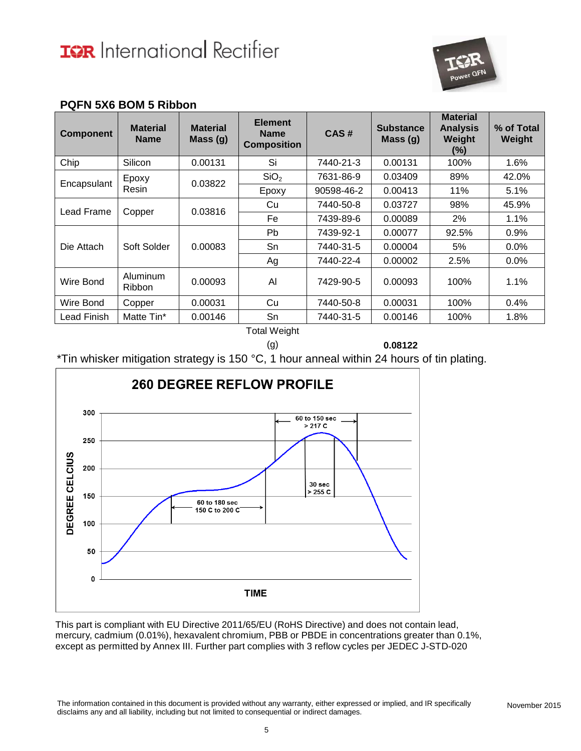

#### **PQFN 5X6 BOM 5 Ribbon**

| <b>Component</b> | <b>Material</b><br><b>Name</b> | <b>Material</b><br>Mass(g) | <b>Element</b><br><b>Name</b><br><b>Composition</b> | CAS#       | <b>Substance</b><br>Mass (g) | <b>Material</b><br><b>Analysis</b><br>Weight<br>(%) | % of Total<br>Weight |
|------------------|--------------------------------|----------------------------|-----------------------------------------------------|------------|------------------------------|-----------------------------------------------------|----------------------|
| Chip             | Silicon                        | 0.00131                    | Si                                                  | 7440-21-3  | 0.00131                      | 100%                                                | 1.6%                 |
| Encapsulant      | Epoxy                          | 0.03822                    | SiO <sub>2</sub>                                    | 7631-86-9  | 0.03409                      | 89%                                                 | 42.0%                |
|                  | Resin                          |                            | Epoxy                                               | 90598-46-2 | 0.00413                      | 11%                                                 | 5.1%                 |
| Lead Frame       | Copper                         | 0.03816                    | Cu                                                  | 7440-50-8  | 0.03727                      | 98%                                                 | 45.9%                |
|                  |                                |                            | Fe.                                                 | 7439-89-6  | 0.00089                      | 2%                                                  | 1.1%                 |
|                  | Soft Solder                    | 0.00083                    | Pb.                                                 | 7439-92-1  | 0.00077                      | 92.5%                                               | 0.9%                 |
| Die Attach       |                                |                            | Sn                                                  | 7440-31-5  | 0.00004                      | 5%                                                  | 0.0%                 |
|                  |                                |                            | Ag                                                  | 7440-22-4  | 0.00002                      | 2.5%                                                | 0.0%                 |
| Wire Bond        | Aluminum<br><b>Ribbon</b>      | 0.00093                    | Al                                                  | 7429-90-5  | 0.00093                      | 100%                                                | 1.1%                 |
| Wire Bond        | Copper                         | 0.00031                    | Cu                                                  | 7440-50-8  | 0.00031                      | 100%                                                | 0.4%                 |
| Lead Finish      | Matte Tin*                     | 0.00146                    | Sn                                                  | 7440-31-5  | 0.00146                      | 100%                                                | 1.8%                 |

Total Weight

(g) **0.08122**

\*Tin whisker mitigation strategy is 150 °C, 1 hour anneal within 24 hours of tin plating.



This part is compliant with EU Directive 2011/65/EU (RoHS Directive) and does not contain lead, mercury, cadmium (0.01%), hexavalent chromium, PBB or PBDE in concentrations greater than 0.1%, except as permitted by Annex III. Further part complies with 3 reflow cycles per JEDEC J-STD-020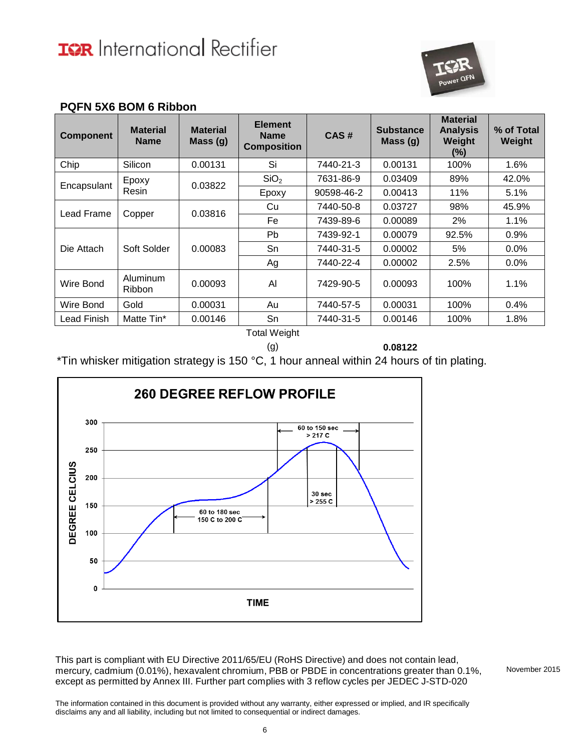**PQFN 5X6 BOM 6 Ribbon**



| <b>Component</b> | <b>Material</b><br><b>Name</b> | <b>Material</b><br>Mass (g) | <b>Element</b><br><b>Name</b><br><b>Composition</b> | CAS#       | <b>Substance</b><br>Mass $(g)$ | <b>Material</b><br><b>Analysis</b><br>Weight<br>(%) | % of Total<br>Weight |
|------------------|--------------------------------|-----------------------------|-----------------------------------------------------|------------|--------------------------------|-----------------------------------------------------|----------------------|
| Chip             | Silicon                        | 0.00131                     | Si                                                  | 7440-21-3  | 0.00131                        | 100%                                                | 1.6%                 |
| Encapsulant      | Epoxy                          |                             | SiO <sub>2</sub>                                    | 7631-86-9  | 0.03409                        | 89%                                                 | 42.0%                |
|                  | Resin                          | 0.03822                     | Epoxy                                               | 90598-46-2 | 0.00413                        | 11%                                                 | 5.1%                 |
|                  |                                |                             | Cu                                                  | 7440-50-8  | 0.03727                        | 98%                                                 | 45.9%                |
| Lead Frame       | Copper                         | 0.03816                     | Fe                                                  | 7439-89-6  | 0.00089                        | 2%                                                  | 1.1%                 |
|                  |                                | 0.00083                     | Pb                                                  | 7439-92-1  | 0.00079                        | 92.5%                                               | 0.9%                 |
| Die Attach       | Soft Solder                    |                             | Sn                                                  | 7440-31-5  | 0.00002                        | 5%                                                  | $0.0\%$              |
|                  |                                |                             | Ag                                                  | 7440-22-4  | 0.00002                        | 2.5%                                                | $0.0\%$              |
| Wire Bond        | Aluminum<br><b>Ribbon</b>      | 0.00093                     | Al                                                  | 7429-90-5  | 0.00093                        | 100%                                                | 1.1%                 |
| Wire Bond        | Gold                           | 0.00031                     | Au                                                  | 7440-57-5  | 0.00031                        | 100%                                                | $0.4\%$              |
| Lead Finish      | Matte Tin*                     | 0.00146                     | Sn                                                  | 7440-31-5  | 0.00146                        | 100%                                                | 1.8%                 |

Total Weight

(g) **0.08122**

\*Tin whisker mitigation strategy is 150 °C, 1 hour anneal within 24 hours of tin plating.



This part is compliant with EU Directive 2011/65/EU (RoHS Directive) and does not contain lead, mercury, cadmium (0.01%), hexavalent chromium, PBB or PBDE in concentrations greater than 0.1%, except as permitted by Annex III. Further part complies with 3 reflow cycles per JEDEC J-STD-020

November 2015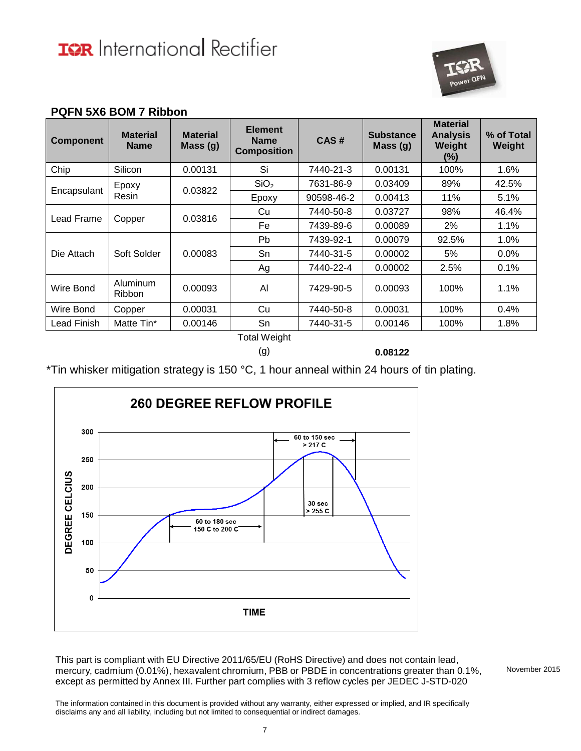

#### **PQFN 5X6 BOM 7 Ribbon**

| Weight |
|--------|
| 1.6%   |
| 42.5%  |
| 5.1%   |
| 46.4%  |
| 1.1%   |
| 1.0%   |
| 0.0%   |
| 0.1%   |
| 1.1%   |
| 0.4%   |
| 1.8%   |
|        |

Total Weight

(g) **0.08122**

\*Tin whisker mitigation strategy is 150 °C, 1 hour anneal within 24 hours of tin plating.



This part is compliant with EU Directive 2011/65/EU (RoHS Directive) and does not contain lead, mercury, cadmium (0.01%), hexavalent chromium, PBB or PBDE in concentrations greater than 0.1%, except as permitted by Annex III. Further part complies with 3 reflow cycles per JEDEC J-STD-020

November 2015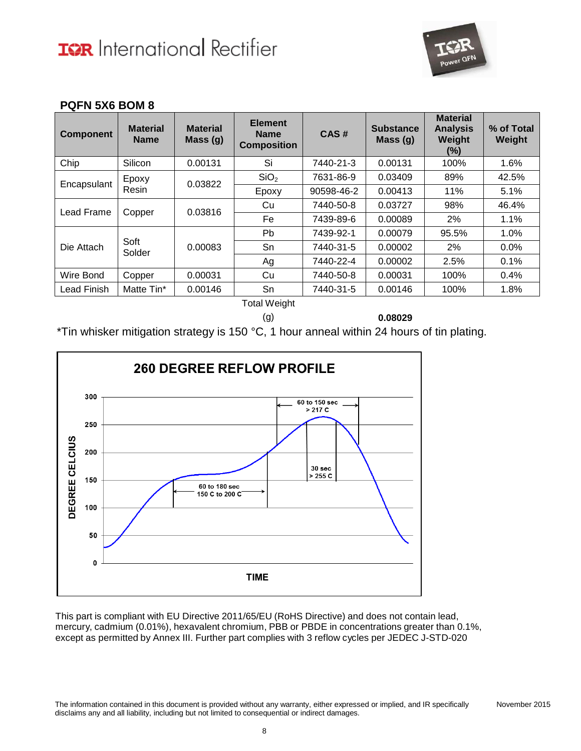

#### **PQFN 5X6 BOM 8**

| <b>Component</b> | <b>Material</b><br><b>Name</b> | <b>Material</b><br>Mass(g) | <b>Element</b><br><b>Name</b><br><b>Composition</b> | CAS#       | <b>Substance</b><br>Mass $(g)$ | <b>Material</b><br><b>Analysis</b><br>Weight<br>(%) | % of Total<br>Weight |
|------------------|--------------------------------|----------------------------|-----------------------------------------------------|------------|--------------------------------|-----------------------------------------------------|----------------------|
| Chip             | Silicon                        | 0.00131                    | Si                                                  | 7440-21-3  | 0.00131                        | 100%                                                | 1.6%                 |
|                  | Epoxy                          | 0.03822                    | SiO <sub>2</sub>                                    | 7631-86-9  | 0.03409                        | 89%                                                 | 42.5%                |
| Encapsulant      | Resin                          |                            | Epoxy                                               | 90598-46-2 | 0.00413                        | 11%                                                 | 5.1%                 |
| Lead Frame       | Copper                         | 0.03816                    | Cu                                                  | 7440-50-8  | 0.03727                        | 98%                                                 | 46.4%                |
|                  |                                |                            | Fe                                                  | 7439-89-6  | 0.00089                        | 2%                                                  | 1.1%                 |
|                  |                                | 0.00083                    | <b>Pb</b>                                           | 7439-92-1  | 0.00079                        | 95.5%                                               | 1.0%                 |
| Die Attach       | Soft<br>Solder                 |                            | Sn                                                  | 7440-31-5  | 0.00002                        | 2%                                                  | $0.0\%$              |
|                  |                                |                            | Ag                                                  | 7440-22-4  | 0.00002                        | 2.5%                                                | 0.1%                 |
| Wire Bond        | Copper                         | 0.00031                    | Cu                                                  | 7440-50-8  | 0.00031                        | 100%                                                | 0.4%                 |
| Lead Finish      | Matte Tin*                     | 0.00146                    | Sn                                                  | 7440-31-5  | 0.00146                        | 100%                                                | 1.8%                 |

Total Weight

(g) **0.08029**

\*Tin whisker mitigation strategy is 150 °C, 1 hour anneal within 24 hours of tin plating.

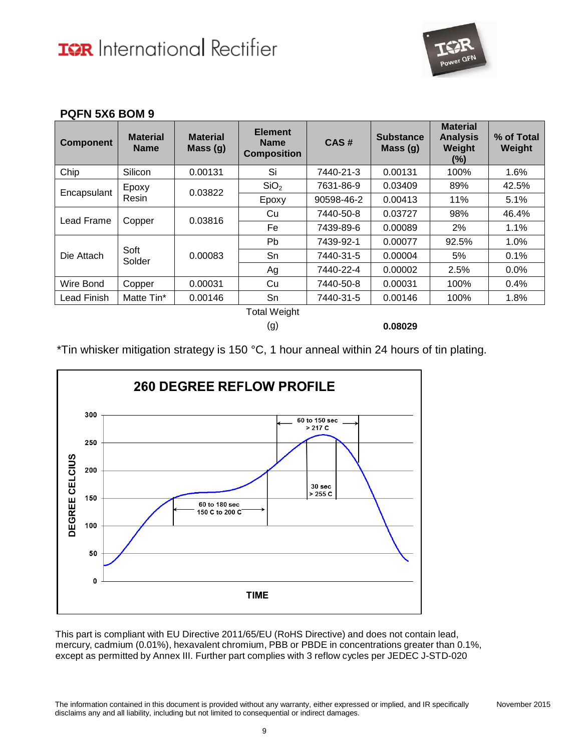

November 2015

#### **PQFN 5X6 BOM 9**

| <b>Material</b><br><b>Name</b> | <b>Material</b><br>Mass(g) | <b>Element</b><br><b>Name</b><br><b>Composition</b> | CAS#       | <b>Substance</b><br>Mass $(g)$ | <b>Material</b><br><b>Analysis</b><br>Weight<br>(%) | % of Total<br>Weight |     |       |
|--------------------------------|----------------------------|-----------------------------------------------------|------------|--------------------------------|-----------------------------------------------------|----------------------|-----|-------|
| Silicon                        | 0.00131                    | Si                                                  | 7440-21-3  | 0.00131                        | 100%                                                | 1.6%                 |     |       |
| Epoxy                          |                            | SiO <sub>2</sub>                                    | 7631-86-9  | 0.03409                        | 89%                                                 | 42.5%                |     |       |
| Resin                          |                            | Epoxy                                               | 90598-46-2 | 0.00413                        | 11%                                                 | 5.1%                 |     |       |
| Copper                         |                            | Lead Frame                                          |            | Cu                             | 7440-50-8                                           | 0.03727              | 98% | 46.4% |
|                                |                            | Fe                                                  | 7439-89-6  | 0.00089                        | 2%                                                  | 1.1%                 |     |       |
|                                | 0.00083                    | Pb                                                  | 7439-92-1  | 0.00077                        | 92.5%                                               | 1.0%                 |     |       |
|                                |                            | Sn                                                  | 7440-31-5  | 0.00004                        | 5%                                                  | 0.1%                 |     |       |
|                                |                            | Ag                                                  | 7440-22-4  | 0.00002                        | 2.5%                                                | 0.0%                 |     |       |
| Copper                         | 0.00031                    | Cu                                                  | 7440-50-8  | 0.00031                        | 100%                                                | 0.4%                 |     |       |
| Matte Tin*                     | 0.00146                    | Sn                                                  | 7440-31-5  | 0.00146                        | 100%                                                | 1.8%                 |     |       |
|                                | Soft<br>Solder             | 0.03822<br>0.03816                                  |            |                                | $T - 1 - 1111 - 1 - 1$                              |                      |     |       |

Total Weight

(g) **0.08029**

\*Tin whisker mitigation strategy is 150 °C, 1 hour anneal within 24 hours of tin plating.

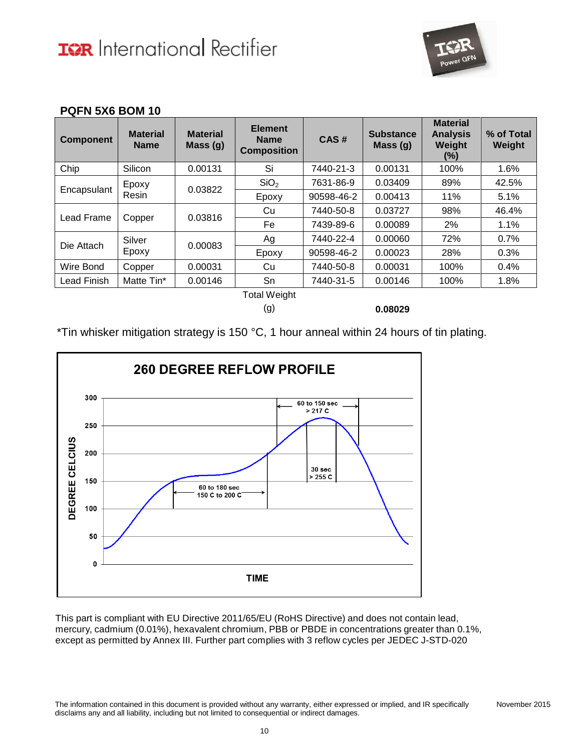

#### **PQFN 5X6 BOM 10**

| <b>Component</b> | <b>Material</b><br><b>Name</b> | <b>Material</b><br>Mass(g) | <b>Element</b><br><b>Name</b><br><b>Composition</b> | CAS#       | <b>Substance</b><br>Mass $(g)$ | <b>Material</b><br><b>Analysis</b><br>Weight<br>(%) | % of Total<br>Weight |
|------------------|--------------------------------|----------------------------|-----------------------------------------------------|------------|--------------------------------|-----------------------------------------------------|----------------------|
| Chip             | Silicon                        | 0.00131                    | Si                                                  | 7440-21-3  | 0.00131                        | 100%                                                | 1.6%                 |
|                  | Epoxy                          |                            | SiO <sub>2</sub>                                    | 7631-86-9  | 0.03409                        | 89%                                                 | 42.5%                |
| Encapsulant      | Resin                          | 0.03822                    | Epoxy                                               | 90598-46-2 | 0.00413                        | 11%                                                 | 5.1%                 |
|                  | Copper                         | 0.03816                    | Cu                                                  | 7440-50-8  | 0.03727                        | 98%                                                 | 46.4%                |
| Lead Frame       |                                |                            | Fe                                                  | 7439-89-6  | 0.00089                        | 2%                                                  | 1.1%                 |
| Die Attach       | Silver                         | 0.00083                    | Ag                                                  | 7440-22-4  | 0.00060                        | 72%                                                 | 0.7%                 |
|                  | Epoxy                          |                            | Epoxy                                               | 90598-46-2 | 0.00023                        | 28%                                                 | 0.3%                 |
| Wire Bond        | Copper                         | 0.00031                    | Cu                                                  | 7440-50-8  | 0.00031                        | 100%                                                | 0.4%                 |
| Lead Finish      | Matte Tin*                     | 0.00146                    | Sn                                                  | 7440-31-5  | 0.00146                        | 100%                                                | 1.8%                 |
|                  |                                |                            | <b>Total Weight</b>                                 |            |                                |                                                     |                      |

(g) **0.08029**

\*Tin whisker mitigation strategy is 150 °C, 1 hour anneal within 24 hours of tin plating.

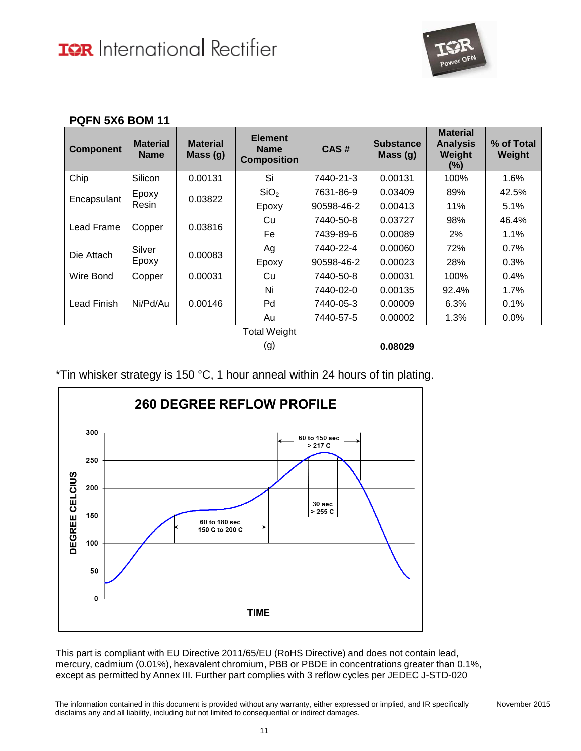

| <b>Component</b> | <b>Material</b><br><b>Name</b> | <b>Material</b><br>Mass (g) | <b>Element</b><br><b>Name</b><br><b>Composition</b> | CAS#       | <b>Substance</b><br>Mass $(g)$ | <b>Material</b><br><b>Analysis</b><br>Weight<br>(%) | % of Total<br>Weight |
|------------------|--------------------------------|-----------------------------|-----------------------------------------------------|------------|--------------------------------|-----------------------------------------------------|----------------------|
| Chip             | Silicon                        | 0.00131                     | Si                                                  | 7440-21-3  | 0.00131                        | 100%                                                | 1.6%                 |
|                  | Epoxy                          |                             | SiO <sub>2</sub>                                    | 7631-86-9  | 0.03409                        | 89%                                                 | 42.5%                |
| Encapsulant      | Resin                          | 0.03822                     | Epoxy                                               | 90598-46-2 | 0.00413                        | 11%                                                 | 5.1%                 |
|                  |                                | 0.03816                     | Cu                                                  | 7440-50-8  | 0.03727                        | 98%                                                 | 46.4%                |
| Lead Frame       | Copper                         |                             | Fe                                                  | 7439-89-6  | 0.00089                        | 2%                                                  | 1.1%                 |
| Die Attach       | Silver                         |                             | Ag                                                  | 7440-22-4  | 0.00060                        | 72%                                                 | 0.7%                 |
|                  | Epoxy                          | 0.00083                     | Epoxy                                               | 90598-46-2 | 0.00023                        | 28%                                                 | 0.3%                 |
| Wire Bond        | Copper                         | 0.00031                     | Cu                                                  | 7440-50-8  | 0.00031                        | 100%                                                | 0.4%                 |
|                  |                                |                             | Ni                                                  | 7440-02-0  | 0.00135                        | 92.4%                                               | 1.7%                 |
| Lead Finish      | Ni/Pd/Au                       | 0.00146                     | Pd                                                  | 7440-05-3  | 0.00009                        | 6.3%                                                | 0.1%                 |
|                  |                                |                             | Au                                                  | 7440-57-5  | 0.00002                        | 1.3%                                                | 0.0%                 |
|                  |                                |                             | <b>Total Weight</b>                                 |            |                                |                                                     |                      |

#### **PQFN 5X6 BOM 11**

Total Weight

(g) **0.08029**

\*Tin whisker strategy is 150 °C, 1 hour anneal within 24 hours of tin plating.

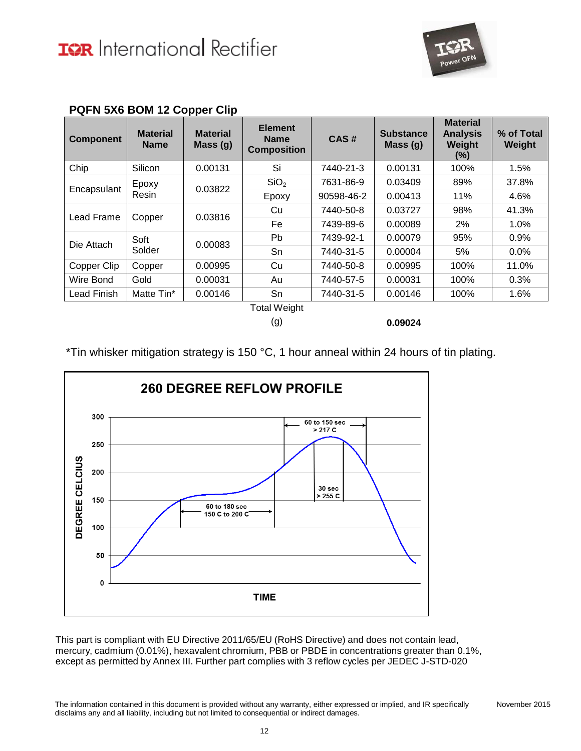

| <b>Component</b> | <b>Material</b><br><b>Name</b> | <b>Material</b><br>Mass(g) | <b>Element</b><br><b>Name</b><br><b>Composition</b> | CAS#       | <b>Substance</b><br>Mass $(g)$ | <b>Material</b><br><b>Analysis</b><br>Weight<br>(%) | % of Total<br>Weight |       |
|------------------|--------------------------------|----------------------------|-----------------------------------------------------|------------|--------------------------------|-----------------------------------------------------|----------------------|-------|
| Chip             | Silicon                        | 0.00131                    | Si                                                  | 7440-21-3  | 0.00131                        | 100%                                                | 1.5%                 |       |
|                  | Epoxy                          | 0.03822                    | SiO <sub>2</sub>                                    | 7631-86-9  | 0.03409                        | 89%                                                 | 37.8%                |       |
| Encapsulant      | Resin                          |                            | Epoxy                                               | 90598-46-2 | 0.00413                        | 11%                                                 | 4.6%                 |       |
|                  | Copper                         |                            | 0.03816                                             | Cu         | 7440-50-8                      | 0.03727                                             | 98%                  | 41.3% |
| Lead Frame       |                                |                            | Fe                                                  | 7439-89-6  | 0.00089                        | 2%                                                  | 1.0%                 |       |
| Die Attach       | Soft                           | 0.00083                    | Pb.                                                 | 7439-92-1  | 0.00079                        | 95%                                                 | 0.9%                 |       |
|                  | Solder                         |                            | Sn                                                  | 7440-31-5  | 0.00004                        | 5%                                                  | $0.0\%$              |       |
| Copper Clip      | Copper                         | 0.00995                    | Cu                                                  | 7440-50-8  | 0.00995                        | 100%                                                | 11.0%                |       |
| Wire Bond        | Gold                           | 0.00031                    | Au                                                  | 7440-57-5  | 0.00031                        | 100%                                                | 0.3%                 |       |
| Lead Finish      | Matte Tin*                     | 0.00146                    | Sn                                                  | 7440-31-5  | 0.00146                        | 100%                                                | 1.6%                 |       |
|                  |                                |                            | <b>Total Weight</b>                                 |            |                                |                                                     |                      |       |

#### **PQFN 5X6 BOM 12 Copper Clip**

(g) **0.09024**

\*Tin whisker mitigation strategy is 150 °C, 1 hour anneal within 24 hours of tin plating.

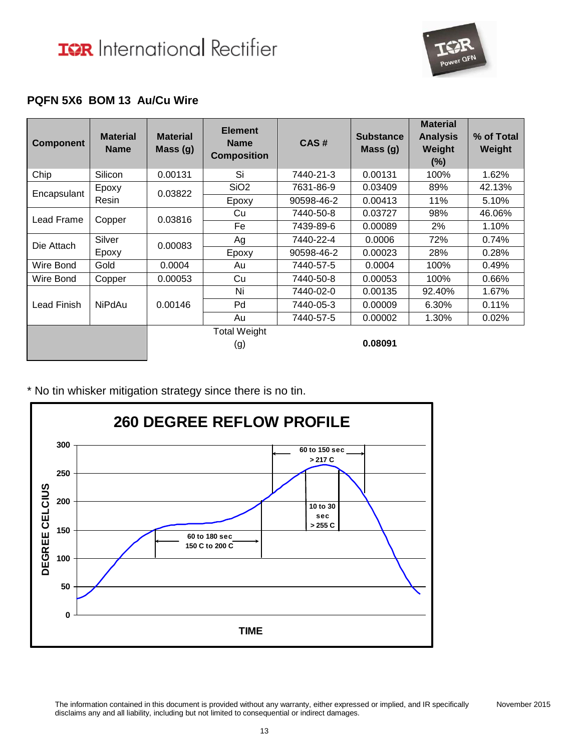

### **PQFN 5X6 BOM 13 Au/Cu Wire**

| <b>Component</b> | <b>Material</b><br><b>Name</b> | <b>Material</b><br>Mass(g) | <b>Element</b><br><b>Name</b><br><b>Composition</b> | CAS#       | <b>Substance</b><br>Mass $(g)$ | <b>Material</b><br><b>Analysis</b><br>Weight<br>$(\%)$ | % of Total<br>Weight |
|------------------|--------------------------------|----------------------------|-----------------------------------------------------|------------|--------------------------------|--------------------------------------------------------|----------------------|
| Chip             | Silicon                        | 0.00131                    | Si                                                  | 7440-21-3  | 0.00131                        | 100%                                                   | 1.62%                |
| Encapsulant      | Epoxy<br>Resin                 | 0.03822                    | SiO <sub>2</sub>                                    | 7631-86-9  | 0.03409                        | 89%                                                    | 42.13%               |
|                  |                                |                            | Epoxy                                               | 90598-46-2 | 0.00413                        | 11%                                                    | 5.10%                |
| Lead Frame       | Copper                         | 0.03816                    | Cu                                                  | 7440-50-8  | 0.03727                        | 98%                                                    | 46.06%               |
|                  |                                |                            | Fe                                                  | 7439-89-6  | 0.00089                        | 2%                                                     | 1.10%                |
| Die Attach       | Silver                         | 0.00083                    | Ag                                                  | 7440-22-4  | 0.0006                         | 72%                                                    | 0.74%                |
|                  | Epoxy                          |                            | Epoxy                                               | 90598-46-2 | 0.00023                        | 28%                                                    | 0.28%                |
| Wire Bond        | Gold                           | 0.0004                     | Au                                                  | 7440-57-5  | 0.0004                         | 100%                                                   | 0.49%                |
| Wire Bond        | Copper                         | 0.00053                    | Cu                                                  | 7440-50-8  | 0.00053                        | 100%                                                   | 0.66%                |
| Lead Finish      | <b>NiPdAu</b>                  | 0.00146                    | Ni                                                  | 7440-02-0  | 0.00135                        | 92.40%                                                 | 1.67%                |
|                  |                                |                            | Pd                                                  | 7440-05-3  | 0.00009                        | 6.30%                                                  | 0.11%                |
|                  |                                |                            | Au                                                  | 7440-57-5  | 0.00002                        | 1.30%                                                  | 0.02%                |
|                  |                                |                            | <b>Total Weight</b>                                 |            |                                |                                                        |                      |
|                  |                                |                            | (g)                                                 |            | 0.08091                        |                                                        |                      |

\* No tin whisker mitigation strategy since there is no tin.